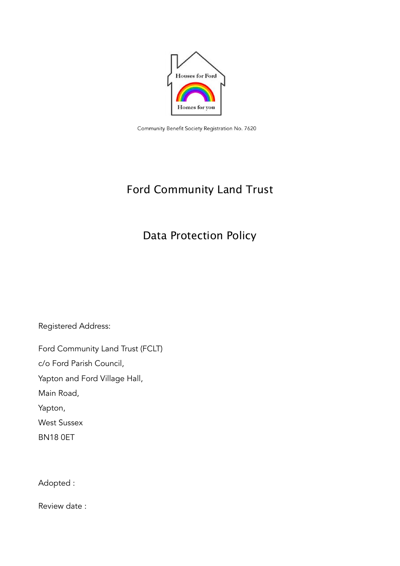

Community Benefit Society Registration No. 7620

# Ford Community Land Trust

# Data Protection Policy

Registered Address:

Ford Community Land Trust (FCLT)

c/o Ford Parish Council,

Yapton and Ford Village Hall,

Main Road,

Yapton,

West Sussex

BN18 0ET

Adopted :

Review date :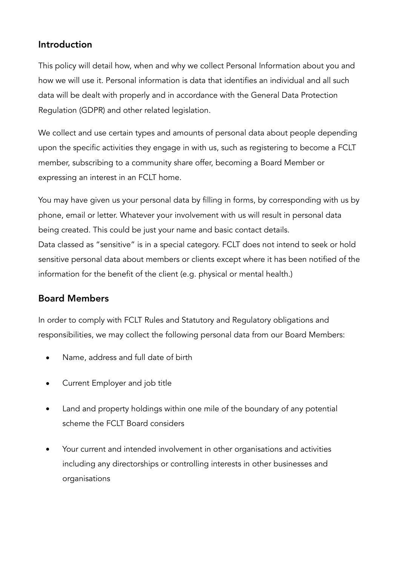# Introduction

This policy will detail how, when and why we collect Personal Information about you and how we will use it. Personal information is data that identifies an individual and all such data will be dealt with properly and in accordance with the General Data Protection Regulation (GDPR) and other related legislation.

We collect and use certain types and amounts of personal data about people depending upon the specific activities they engage in with us, such as registering to become a FCLT member, subscribing to a community share offer, becoming a Board Member or expressing an interest in an FCLT home.

You may have given us your personal data by filling in forms, by corresponding with us by phone, email or letter. Whatever your involvement with us will result in personal data being created. This could be just your name and basic contact details. Data classed as "sensitive" is in a special category. FCLT does not intend to seek or hold sensitive personal data about members or clients except where it has been notified of the information for the benefit of the client (e.g. physical or mental health.)

# Board Members

In order to comply with FCLT Rules and Statutory and Regulatory obligations and responsibilities, we may collect the following personal data from our Board Members:

- Name, address and full date of birth
- Current Employer and job title
- Land and property holdings within one mile of the boundary of any potential scheme the FCLT Board considers
- Your current and intended involvement in other organisations and activities including any directorships or controlling interests in other businesses and organisations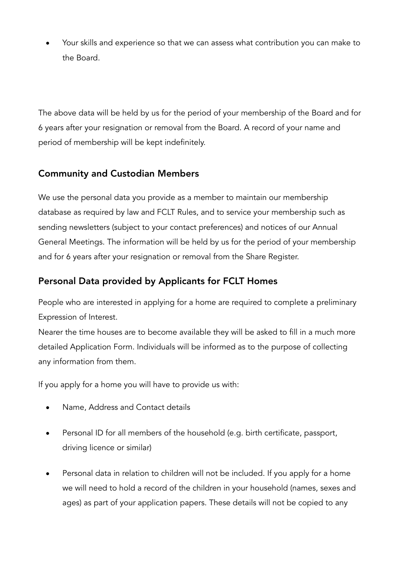• Your skills and experience so that we can assess what contribution you can make to the Board.

The above data will be held by us for the period of your membership of the Board and for 6 years after your resignation or removal from the Board. A record of your name and period of membership will be kept indefinitely.

# Community and Custodian Members

We use the personal data you provide as a member to maintain our membership database as required by law and FCLT Rules, and to service your membership such as sending newsletters (subject to your contact preferences) and notices of our Annual General Meetings. The information will be held by us for the period of your membership and for 6 years after your resignation or removal from the Share Register.

## Personal Data provided by Applicants for FCLT Homes

People who are interested in applying for a home are required to complete a preliminary Expression of Interest.

Nearer the time houses are to become available they will be asked to fill in a much more detailed Application Form. Individuals will be informed as to the purpose of collecting any information from them.

If you apply for a home you will have to provide us with:

- Name, Address and Contact details
- Personal ID for all members of the household (e.g. birth certificate, passport, driving licence or similar)
- Personal data in relation to children will not be included. If you apply for a home we will need to hold a record of the children in your household (names, sexes and ages) as part of your application papers. These details will not be copied to any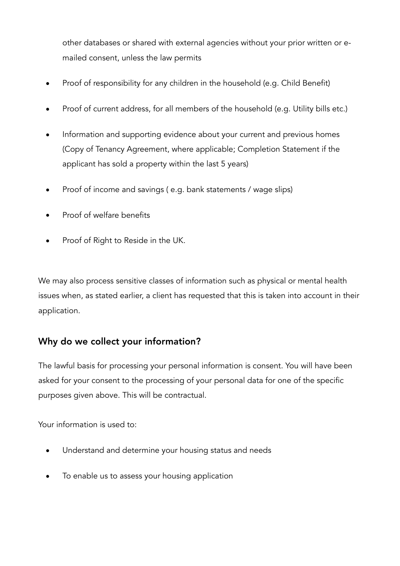other databases or shared with external agencies without your prior written or emailed consent, unless the law permits

- Proof of responsibility for any children in the household (e.g. Child Benefit)
- Proof of current address, for all members of the household (e.g. Utility bills etc.)
- Information and supporting evidence about your current and previous homes (Copy of Tenancy Agreement, where applicable; Completion Statement if the applicant has sold a property within the last 5 years)
- Proof of income and savings ( e.g. bank statements / wage slips)
- Proof of welfare benefits
- Proof of Right to Reside in the UK.

We may also process sensitive classes of information such as physical or mental health issues when, as stated earlier, a client has requested that this is taken into account in their application.

# Why do we collect your information?

The lawful basis for processing your personal information is consent. You will have been asked for your consent to the processing of your personal data for one of the specific purposes given above. This will be contractual.

Your information is used to:

- Understand and determine your housing status and needs
- To enable us to assess your housing application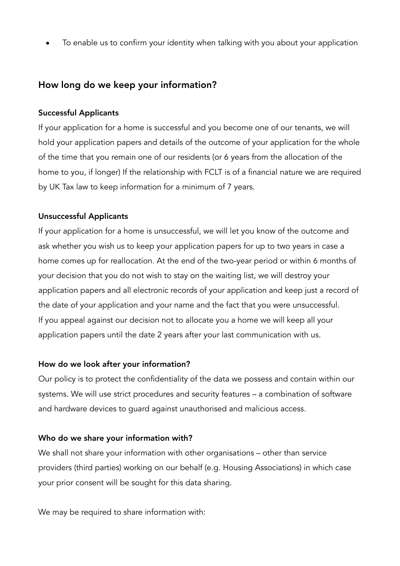• To enable us to confirm your identity when talking with you about your application

## How long do we keep your information?

### Successful Applicants

If your application for a home is successful and you become one of our tenants, we will hold your application papers and details of the outcome of your application for the whole of the time that you remain one of our residents (or 6 years from the allocation of the home to you, if longer) If the relationship with FCLT is of a financial nature we are required by UK Tax law to keep information for a minimum of 7 years.

### Unsuccessful Applicants

If your application for a home is unsuccessful, we will let you know of the outcome and ask whether you wish us to keep your application papers for up to two years in case a home comes up for reallocation. At the end of the two-year period or within 6 months of your decision that you do not wish to stay on the waiting list, we will destroy your application papers and all electronic records of your application and keep just a record of the date of your application and your name and the fact that you were unsuccessful. If you appeal against our decision not to allocate you a home we will keep all your application papers until the date 2 years after your last communication with us.

### How do we look after your information?

Our policy is to protect the confidentiality of the data we possess and contain within our systems. We will use strict procedures and security features – a combination of software and hardware devices to guard against unauthorised and malicious access.

### Who do we share your information with?

We shall not share your information with other organisations – other than service providers (third parties) working on our behalf (e.g. Housing Associations) in which case your prior consent will be sought for this data sharing.

We may be required to share information with: